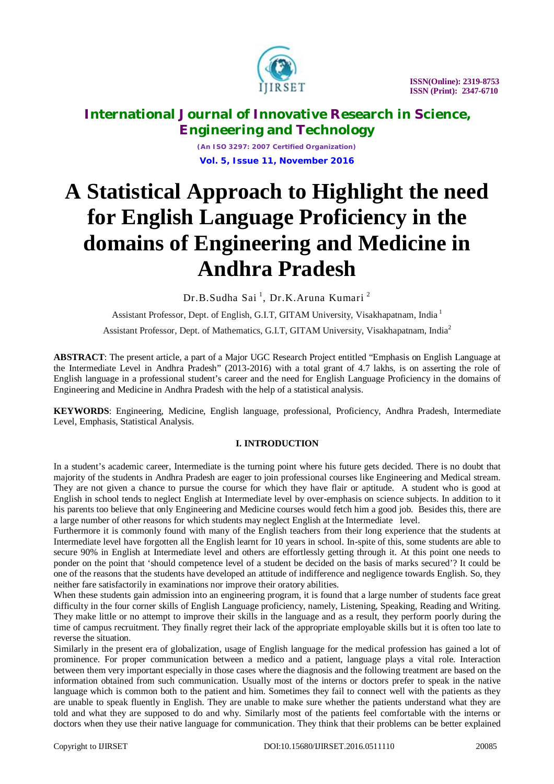

*(An ISO 3297: 2007 Certified Organization)* **Vol. 5, Issue 11, November 2016**

# **A Statistical Approach to Highlight the need for English Language Proficiency in the domains of Engineering and Medicine in Andhra Pradesh**

Dr.B.Sudha Sai <sup>1</sup>, Dr.K.Aruna Kumari <sup>2</sup>

Assistant Professor, Dept. of English, G.I.T, GITAM University, Visakhapatnam, India <sup>1</sup>

Assistant Professor, Dept. of Mathematics, G.I.T, GITAM University, Visakhapatnam, India<sup>2</sup>

**ABSTRACT**: The present article, a part of a Major UGC Research Project entitled "Emphasis on English Language at the Intermediate Level in Andhra Pradesh" (2013-2016) with a total grant of 4.7 lakhs, is on asserting the role of English language in a professional student's career and the need for English Language Proficiency in the domains of Engineering and Medicine in Andhra Pradesh with the help of a statistical analysis.

**KEYWORDS**: Engineering, Medicine, English language, professional, Proficiency, Andhra Pradesh, Intermediate Level, Emphasis, Statistical Analysis.

#### **I. INTRODUCTION**

In a student's academic career, Intermediate is the turning point where his future gets decided. There is no doubt that majority of the students in Andhra Pradesh are eager to join professional courses like Engineering and Medical stream. They are not given a chance to pursue the course for which they have flair or aptitude. A student who is good at English in school tends to neglect English at Intermediate level by over-emphasis on science subjects. In addition to it his parents too believe that only Engineering and Medicine courses would fetch him a good job. Besides this, there are a large number of other reasons for which students may neglect English at the Intermediate level.

Furthermore it is commonly found with many of the English teachers from their long experience that the students at Intermediate level have forgotten all the English learnt for 10 years in school. In-spite of this, some students are able to secure 90% in English at Intermediate level and others are effortlessly getting through it. At this point one needs to ponder on the point that 'should competence level of a student be decided on the basis of marks secured'? It could be one of the reasons that the students have developed an attitude of indifference and negligence towards English. So, they neither fare satisfactorily in examinations nor improve their oratory abilities.

When these students gain admission into an engineering program, it is found that a large number of students face great difficulty in the four corner skills of English Language proficiency, namely, Listening, Speaking, Reading and Writing. They make little or no attempt to improve their skills in the language and as a result, they perform poorly during the time of campus recruitment. They finally regret their lack of the appropriate employable skills but it is often too late to reverse the situation.

Similarly in the present era of globalization, usage of English language for the medical profession has gained a lot of prominence. For proper communication between a medico and a patient, language plays a vital role. Interaction between them very important especially in those cases where the diagnosis and the following treatment are based on the information obtained from such communication. Usually most of the interns or doctors prefer to speak in the native language which is common both to the patient and him. Sometimes they fail to connect well with the patients as they are unable to speak fluently in English. They are unable to make sure whether the patients understand what they are told and what they are supposed to do and why. Similarly most of the patients feel comfortable with the interns or doctors when they use their native language for communication. They think that their problems can be better explained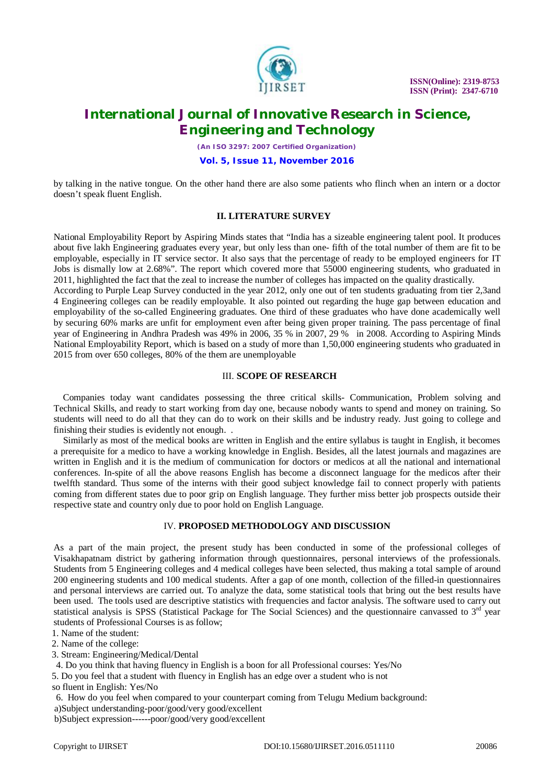

*(An ISO 3297: 2007 Certified Organization)*

**Vol. 5, Issue 11, November 2016**

by talking in the native tongue. On the other hand there are also some patients who flinch when an intern or a doctor doesn't speak fluent English.

#### **II. LITERATURE SURVEY**

National Employability Report by Aspiring Minds states that "India has a sizeable engineering talent pool. It produces about five lakh Engineering graduates every year, but only less than one- fifth of the total number of them are fit to be employable, especially in IT service sector. It also says that the percentage of ready to be employed engineers for IT Jobs is dismally low at 2.68%". The report which covered more that 55000 engineering students, who graduated in 2011, highlighted the fact that the zeal to increase the number of colleges has impacted on the quality drastically.

According to Purple Leap Survey conducted in the year 2012, only one out of ten students graduating from tier 2,3and 4 Engineering colleges can be readily employable. It also pointed out regarding the huge gap between education and employability of the so-called Engineering graduates. One third of these graduates who have done academically well by securing 60% marks are unfit for employment even after being given proper training. The pass percentage of final year of Engineering in Andhra Pradesh was 49% in 2006, 35 % in 2007, 29 % in 2008. According to Aspiring Minds National Employability Report, which is based on a study of more than 1,50,000 engineering students who graduated in 2015 from over 650 colleges, 80% of the them are unemployable

#### III. **SCOPE OF RESEARCH**

 Companies today want candidates possessing the three critical skills- Communication, Problem solving and Technical Skills, and ready to start working from day one, because nobody wants to spend and money on training. So students will need to do all that they can do to work on their skills and be industry ready. Just going to college and finishing their studies is evidently not enough. .

 Similarly as most of the medical books are written in English and the entire syllabus is taught in English, it becomes a prerequisite for a medico to have a working knowledge in English. Besides, all the latest journals and magazines are written in English and it is the medium of communication for doctors or medicos at all the national and international conferences. In-spite of all the above reasons English has become a disconnect language for the medicos after their twelfth standard. Thus some of the interns with their good subject knowledge fail to connect properly with patients coming from different states due to poor grip on English language. They further miss better job prospects outside their respective state and country only due to poor hold on English Language.

#### IV. **PROPOSED METHODOLOGY AND DISCUSSION**

As a part of the main project, the present study has been conducted in some of the professional colleges of Visakhapatnam district by gathering information through questionnaires, personal interviews of the professionals. Students from 5 Engineering colleges and 4 medical colleges have been selected, thus making a total sample of around 200 engineering students and 100 medical students. After a gap of one month, collection of the filled-in questionnaires and personal interviews are carried out. To analyze the data, some statistical tools that bring out the best results have been used. The tools used are descriptive statistics with frequencies and factor analysis. The software used to carry out statistical analysis is SPSS (Statistical Package for The Social Sciences) and the questionnaire canvassed to  $3<sup>rd</sup>$  year students of Professional Courses is as follow;

1. Name of the student:

2. Name of the college:

3. Stream: Engineering/Medical/Dental

4. Do you think that having fluency in English is a boon for all Professional courses: Yes/No

5. Do you feel that a student with fluency in English has an edge over a student who is not

so fluent in English: Yes/No

6. How do you feel when compared to your counterpart coming from Telugu Medium background: a)Subject understanding-poor/good/very good/excellent

b)Subject expression------poor/good/very good/excellent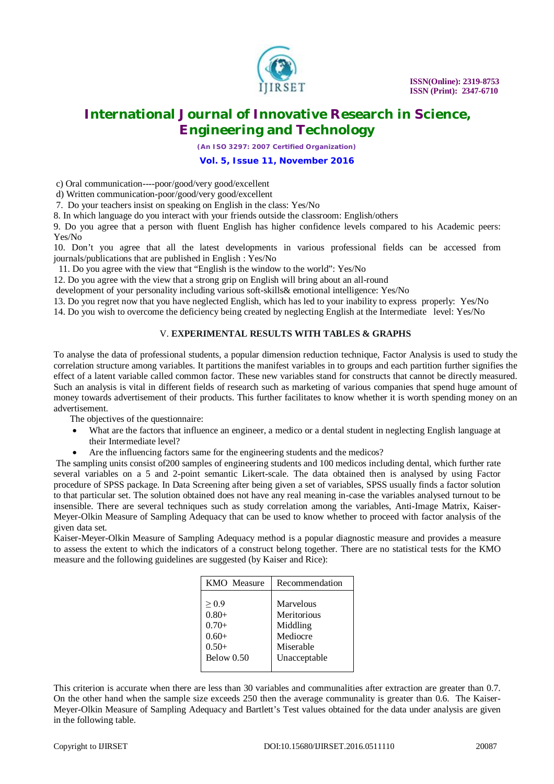

*(An ISO 3297: 2007 Certified Organization)*

**Vol. 5, Issue 11, November 2016**

c) Oral communication----poor/good/very good/excellent

d) Written communication-poor/good/very good/excellent

7. Do your teachers insist on speaking on English in the class: Yes/No

8. In which language do you interact with your friends outside the classroom: English/others

9. Do you agree that a person with fluent English has higher confidence levels compared to his Academic peers: Yes/No

10. Don't you agree that all the latest developments in various professional fields can be accessed from journals/publications that are published in English : Yes/No

11. Do you agree with the view that "English is the window to the world": Yes/No

12. Do you agree with the view that a strong grip on English will bring about an all-round

development of your personality including various soft-skills& emotional intelligence: Yes/No

13. Do you regret now that you have neglected English, which has led to your inability to express properly: Yes/No

14. Do you wish to overcome the deficiency being created by neglecting English at the Intermediate level: Yes/No

#### V. **EXPERIMENTAL RESULTS WITH TABLES & GRAPHS**

To analyse the data of professional students, a popular dimension reduction technique, Factor Analysis is used to study the correlation structure among variables. It partitions the manifest variables in to groups and each partition further signifies the effect of a latent variable called common factor. These new variables stand for constructs that cannot be directly measured. Such an analysis is vital in different fields of research such as marketing of various companies that spend huge amount of money towards advertisement of their products. This further facilitates to know whether it is worth spending money on an advertisement.

The objectives of the questionnaire:

- What are the factors that influence an engineer, a medico or a dental student in neglecting English language at their Intermediate level?
- Are the influencing factors same for the engineering students and the medicos?

The sampling units consist of200 samples of engineering students and 100 medicos including dental, which further rate several variables on a 5 and 2-point semantic Likert-scale. The data obtained then is analysed by using Factor procedure of SPSS package. In Data Screening after being given a set of variables, SPSS usually finds a factor solution to that particular set. The solution obtained does not have any real meaning in-case the variables analysed turnout to be insensible. There are several techniques such as study correlation among the variables, Anti-Image Matrix, Kaiser-Meyer-Olkin Measure of Sampling Adequacy that can be used to know whether to proceed with factor analysis of the given data set.

Kaiser-Meyer-Olkin Measure of Sampling Adequacy method is a popular diagnostic measure and provides a measure to assess the extent to which the indicators of a construct belong together. There are no statistical tests for the KMO measure and the following guidelines are suggested (by Kaiser and Rice):

| <b>KMO</b> Measure | Recommendation |  |  |  |  |
|--------------------|----------------|--|--|--|--|
| > 0.9              | Marvelous      |  |  |  |  |
| $0.80+$            | Meritorious    |  |  |  |  |
| $0.70+$            | Middling       |  |  |  |  |
| $0.60+$            | Mediocre       |  |  |  |  |
| $0.50+$            | Miserable      |  |  |  |  |
| Below $0.50$       | Unacceptable   |  |  |  |  |

This criterion is accurate when there are less than 30 variables and communalities after extraction are greater than 0.7. On the other hand when the sample size exceeds 250 then the average communality is greater than 0.6. The Kaiser-Meyer-Olkin Measure of Sampling Adequacy and Bartlett's Test values obtained for the data under analysis are given in the following table.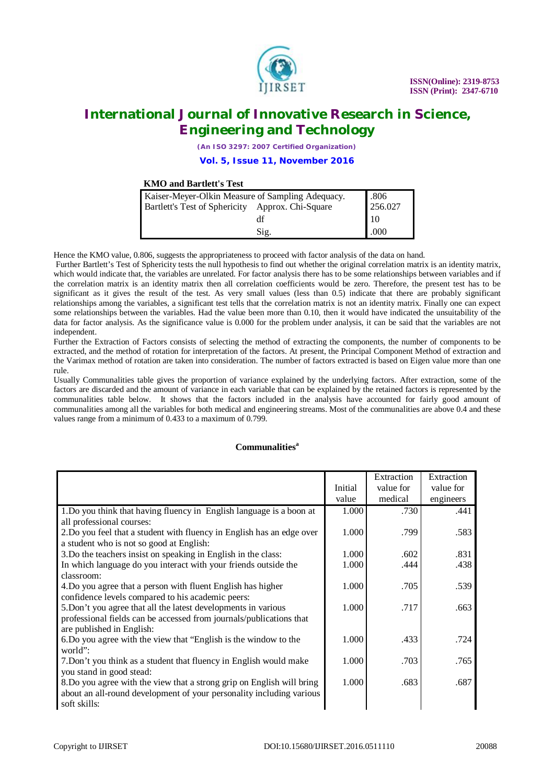

*(An ISO 3297: 2007 Certified Organization)* **Vol. 5, Issue 11, November 2016**

#### **KMO and Bartlett's Test**

| Kaiser-Meyer-Olkin Measure of Sampling Adequacy. | .806 |            |
|--------------------------------------------------|------|------------|
| Bartlett's Test of Sphericity Approx. Chi-Square |      | 256.027    |
|                                                  | df   | $\vert$ 10 |
|                                                  | Sig. | .000       |

Hence the KMO value, 0.806, suggests the appropriateness to proceed with factor analysis of the data on hand.

Further Bartlett's Test of Sphericity tests the null hypothesis to find out whether the original correlation matrix is an identity matrix, which would indicate that, the variables are unrelated. For factor analysis there has to be some relationships between variables and if the correlation matrix is an identity matrix then all correlation coefficients would be zero. Therefore, the present test has to be significant as it gives the result of the test. As very small values (less than 0.5) indicate that there are probably significant relationships among the variables, a significant test tells that the correlation matrix is not an identity matrix. Finally one can expect some relationships between the variables. Had the value been more than 0.10, then it would have indicated the unsuitability of the data for factor analysis. As the significance value is 0.000 for the problem under analysis, it can be said that the variables are not independent.

Further the Extraction of Factors consists of selecting the method of extracting the components, the number of components to be extracted, and the method of rotation for interpretation of the factors. At present, the Principal Component Method of extraction and the Varimax method of rotation are taken into consideration. The number of factors extracted is based on Eigen value more than one rule.

Usually Communalities table gives the proportion of variance explained by the underlying factors. After extraction, some of the factors are discarded and the amount of variance in each variable that can be explained by the retained factors is represented by the communalities table below. It shows that the factors included in the analysis have accounted for fairly good amount of communalities among all the variables for both medical and engineering streams. Most of the communalities are above 0.4 and these values range from a minimum of 0.433 to a maximum of 0.799.

#### **Communalities<sup>a</sup>**

|                                                                        |         | Extraction | Extraction |
|------------------------------------------------------------------------|---------|------------|------------|
|                                                                        | Initial | value for  | value for  |
|                                                                        | value   | medical    | engineers  |
| 1. Do you think that having fluency in English language is a boon at   | 1.000   | .730       | .441       |
| all professional courses:                                              |         |            |            |
| 2. Do you feel that a student with fluency in English has an edge over | 1.000   | .799       | .583       |
| a student who is not so good at English:                               |         |            |            |
| 3. Do the teachers insist on speaking in English in the class:         | 1.000   | .602       | .831       |
| In which language do you interact with your friends outside the        | 1.000   | .444       | .438       |
| classroom:                                                             |         |            |            |
| 4. Do you agree that a person with fluent English has higher           | 1.000   | .705       | .539       |
| confidence levels compared to his academic peers:                      |         |            |            |
| 5. Don't you agree that all the latest developments in various         | 1.000   | .717       | .663       |
| professional fields can be accessed from journals/publications that    |         |            |            |
| are published in English:                                              |         |            |            |
| 6. Do you agree with the view that "English is the window to the       | 1.000   | .433       | .724       |
| world":                                                                |         |            |            |
| 7. Don't you think as a student that fluency in English would make     | 1.000   | .703       | .765       |
| you stand in good stead:                                               |         |            |            |
| 8. Do you agree with the view that a strong grip on English will bring | 1.000   | .683       | .687       |
| about an all-round development of your personality including various   |         |            |            |
| soft skills:                                                           |         |            |            |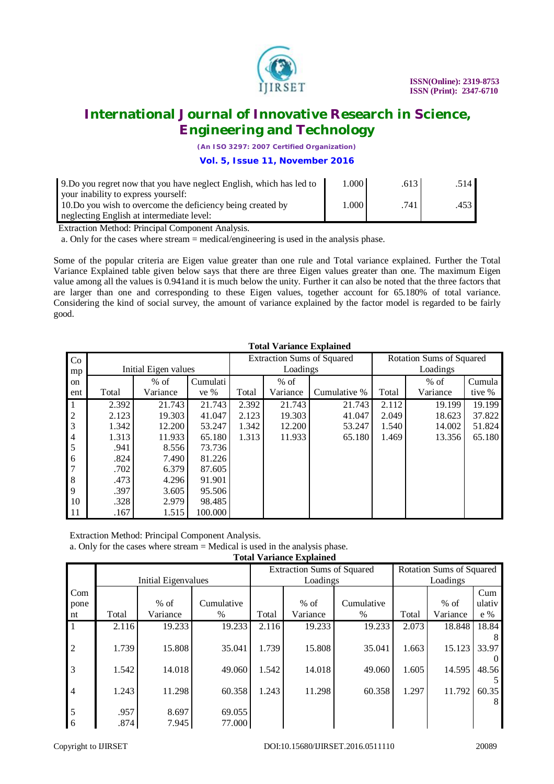

*(An ISO 3297: 2007 Certified Organization)*

**Vol. 5, Issue 11, November 2016**

| 9. Do you regret now that you have neglect English, which has led to                                                                            | 1.000 | .613 | .514                  |
|-------------------------------------------------------------------------------------------------------------------------------------------------|-------|------|-----------------------|
| your inability to express yourself:<br>10. Do you wish to overcome the deficiency being created by<br>neglecting English at intermediate level: | 1.000 | .741 | $.453$ $\blacksquare$ |

Extraction Method: Principal Component Analysis.

a. Only for the cases where stream = medical/engineering is used in the analysis phase.

Some of the popular criteria are Eigen value greater than one rule and Total variance explained. Further the Total Variance Explained table given below says that there are three Eigen values greater than one. The maximum Eigen value among all the values is 0.941and it is much below the unity. Further it can also be noted that the three factors that are larger than one and corresponding to these Eigen values, together account for 65.180% of total variance. Considering the kind of social survey, the amount of variance explained by the factor model is regarded to be fairly good.

|                                       | Total Variance Explained |                      |          |                                   |          |              |                          |          |        |
|---------------------------------------|--------------------------|----------------------|----------|-----------------------------------|----------|--------------|--------------------------|----------|--------|
| Co                                    |                          |                      |          | <b>Extraction Sums of Squared</b> |          |              | Rotation Sums of Squared |          |        |
| mp                                    |                          | Initial Eigen values |          |                                   | Loadings |              |                          | Loadings |        |
| on                                    |                          | $%$ of               | Cumulati |                                   | $%$ of   |              |                          | $%$ of   | Cumula |
| ent                                   | Total                    | Variance             | ve $%$   | Total                             | Variance | Cumulative % | Total                    | Variance | tive % |
| l 1                                   | 2.392                    | 21.743               | 21.743   | 2.392                             | 21.743   | 21.743       | 2.112                    | 19.199   | 19.199 |
| $\begin{array}{c} 2 \\ 3 \end{array}$ | 2.123                    | 19.303               | 41.047   | 2.123                             | 19.303   | 41.047       | 2.049                    | 18.623   | 37.822 |
|                                       | 1.342                    | 12.200               | 53.247   | 1.342                             | 12.200   | 53.247       | 1.540                    | 14.002   | 51.824 |
| $\overline{4}$                        | 1.313                    | 11.933               | 65.180   | 1.313                             | 11.933   | 65.180       | 1.469                    | 13.356   | 65.180 |
| 5                                     | .941                     | 8.556                | 73.736   |                                   |          |              |                          |          |        |
| 6                                     | .824                     | 7.490                | 81.226   |                                   |          |              |                          |          |        |
| 17                                    | .702                     | 6.379                | 87.605   |                                   |          |              |                          |          |        |
| 8                                     | .473                     | 4.296                | 91.901   |                                   |          |              |                          |          |        |
| $\overline{Q}$                        | .397                     | 3.605                | 95.506   |                                   |          |              |                          |          |        |
| 10                                    | .328                     | 2.979                | 98.485   |                                   |          |              |                          |          |        |
| <sup>11</sup>                         | .167                     | 1.515                | 100.000  |                                   |          |              |                          |          |        |

 **Total Variance Explained**

Extraction Method: Principal Component Analysis.

a. Only for the cases where stream = Medical is used in the analysis phase.

|  |  | <b>Total Variance Explained</b> |
|--|--|---------------------------------|
|--|--|---------------------------------|

|                 |       |                     |            | <b>Extraction Sums of Squared</b> |          |            | Rotation Sums of Squared |          |        |
|-----------------|-------|---------------------|------------|-----------------------------------|----------|------------|--------------------------|----------|--------|
|                 |       | Initial Eigenvalues |            |                                   | Loadings |            |                          | Loadings |        |
| Com             |       |                     |            |                                   |          |            |                          |          | Cum    |
| pone            |       | $%$ of              | Cumulative |                                   | $%$ of   | Cumulative |                          | $%$ of   | ulativ |
| nt              | Total | Variance            | $\%$       | Total                             | Variance | %          | Total                    | Variance | $e\%$  |
| l 1             | 2.116 | 19.233              | 19.233     | 2.116                             | 19.233   | 19.233     | 2.073                    | 18.848   | 18.84  |
|                 |       |                     |            |                                   |          |            |                          |          |        |
| $\overline{2}$  | 1.739 | 15.808              | 35.041     | 1.739                             | 15.808   | 35.041     | 1.663                    | 15.123   | 33.97  |
|                 |       |                     |            |                                   |          |            |                          |          |        |
| $\overline{3}$  | 1.542 | 14.018              | 49.060     | 1.542                             | 14.018   | 49.060     | 1.605                    | 14.595   | 48.56  |
|                 |       |                     |            |                                   |          |            |                          |          |        |
| $\overline{4}$  | 1.243 | 11.298              | 60.358     | 1.243                             | 11.298   | 60.358     | 1.297                    | 11.792   | 60.35  |
|                 |       |                     |            |                                   |          |            |                          |          | 8      |
| $5\overline{5}$ | .957  | 8.697               | 69.055     |                                   |          |            |                          |          |        |
| 6               | .874  | 7.945               | 77.000     |                                   |          |            |                          |          |        |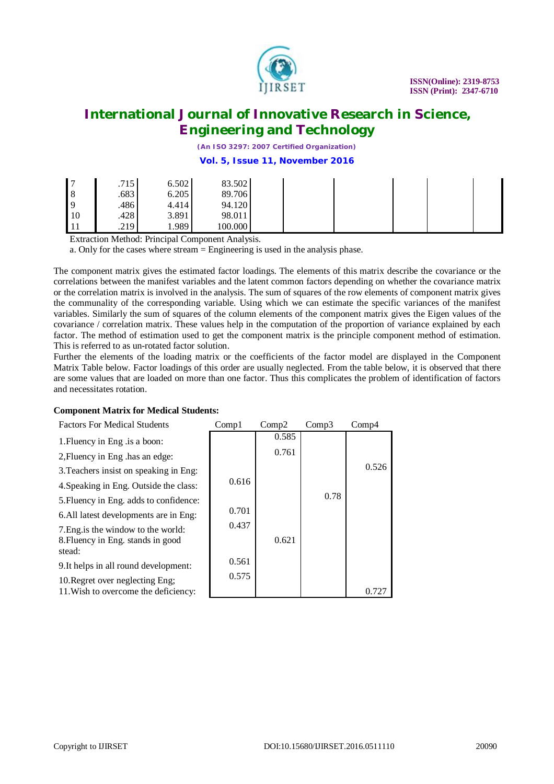

*(An ISO 3297: 2007 Certified Organization)* **Vol. 5, Issue 11, November 2016**

| $\overline{a}$ | .715 | 6.502 | 83.502  |  |  |
|----------------|------|-------|---------|--|--|
| 8              | .683 | 6.205 | 89.706  |  |  |
| 9              | .486 | 4.414 | 94.120  |  |  |
| <sup>10</sup>  | .428 | 3.891 | 98.011  |  |  |
| ' 11           | .219 | 0.989 | 100.000 |  |  |

Extraction Method: Principal Component Analysis.

a. Only for the cases where stream = Engineering is used in the analysis phase.

The component matrix gives the estimated factor loadings. The elements of this matrix describe the covariance or the correlations between the manifest variables and the latent common factors depending on whether the covariance matrix or the correlation matrix is involved in the analysis. The sum of squares of the row elements of component matrix gives the communality of the corresponding variable. Using which we can estimate the specific variances of the manifest variables. Similarly the sum of squares of the column elements of the component matrix gives the Eigen values of the covariance / correlation matrix. These values help in the computation of the proportion of variance explained by each factor. The method of estimation used to get the component matrix is the principle component method of estimation. This is referred to as un-rotated factor solution.

Further the elements of the loading matrix or the coefficients of the factor model are displayed in the Component Matrix Table below. Factor loadings of this order are usually neglected. From the table below, it is observed that there are some values that are loaded on more than one factor. Thus this complicates the problem of identification of factors and necessitates rotation.

#### **Component Matrix for Medical Students:**

| <b>Factors For Medical Students</b>                                                | Comp1 | Comp2 | Comp3 | Comp4 |
|------------------------------------------------------------------------------------|-------|-------|-------|-------|
| 1. Fluency in Eng. is a boon:                                                      |       | 0.585 |       |       |
| 2, Fluency in Eng .has an edge:                                                    |       | 0.761 |       |       |
| 3. Teachers insist on speaking in Eng:                                             |       |       |       | 0.526 |
| 4. Speaking in Eng. Outside the class:                                             | 0.616 |       |       |       |
| 5. Fluency in Eng. adds to confidence:                                             |       |       | 0.78  |       |
| 6. All latest developments are in Eng:                                             | 0.701 |       |       |       |
| 7. Eng. is the window to the world:<br>8. Fluency in Eng. stands in good<br>stead: | 0.437 | 0.621 |       |       |
| 9. It helps in all round development:                                              | 0.561 |       |       |       |
| 10. Regret over neglecting Eng;                                                    | 0.575 |       |       |       |
| 11. Wish to overcome the deficiency:                                               |       |       |       | 0.727 |

- 1. Fluency i
- 2, Fluency i
- 3.Teachers 4.Speaking
- 5.Fluency i
- 6.All latest
- 7.Eng.is the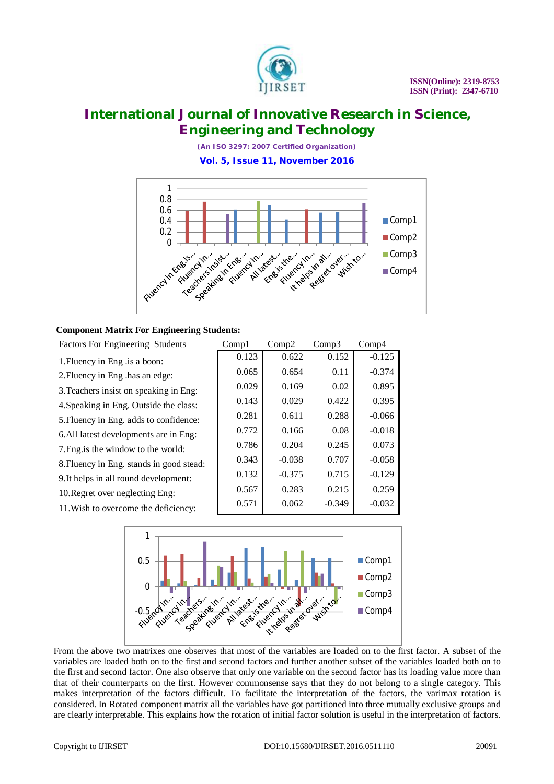

*(An ISO 3297: 2007 Certified Organization)* **Vol. 5, Issue 11, November 2016**



#### **Component Matrix For Engineering Students:**

| <b>Factors For Engineering Students</b>  | Compl | Comp2    | Comp3    | Comp <sub>4</sub> |
|------------------------------------------|-------|----------|----------|-------------------|
| 1. Fluency in Eng . is a boon:           | 0.123 | 0.622    | 0.152    | $-0.125$          |
| 2. Fluency in Eng .has an edge:          | 0.065 | 0.654    | 0.11     | $-0.374$          |
| 3. Teachers insist on speaking in Eng:   | 0.029 | 0.169    | 0.02     | 0.895             |
| 4. Speaking in Eng. Outside the class:   | 0.143 | 0.029    | 0.422    | 0.395             |
| 5. Fluency in Eng. adds to confidence:   | 0.281 | 0.611    | 0.288    | $-0.066$          |
| 6. All latest developments are in Eng:   | 0.772 | 0.166    | 0.08     | $-0.018$          |
| 7. Eng. is the window to the world:      | 0.786 | 0.204    | 0.245    | 0.073             |
| 8. Fluency in Eng. stands in good stead: | 0.343 | $-0.038$ | 0.707    | $-0.058$          |
| 9. It helps in all round development:    | 0.132 | $-0.375$ | 0.715    | $-0.129$          |
| 10. Regret over neglecting Eng:          | 0.567 | 0.283    | 0.215    | 0.259             |
| 11. Wish to overcome the deficiency:     | 0.571 | 0.062    | $-0.349$ | $-0.032$          |



From the above two matrixes one observes that most of the variables are loaded on to the first factor. A subset of the variables are loaded both on to the first and second factors and further another subset of the variables loaded both on to the first and second factor. One also observe that only one variable on the second factor has its loading value more than that of their counterparts on the first. However commonsense says that they do not belong to a single category. This makes interpretation of the factors difficult. To facilitate the interpretation of the factors, the varimax rotation is considered. In Rotated component matrix all the variables have got partitioned into three mutually exclusive groups and are clearly interpretable. This explains how the rotation of initial factor solution is useful in the interpretation of factors.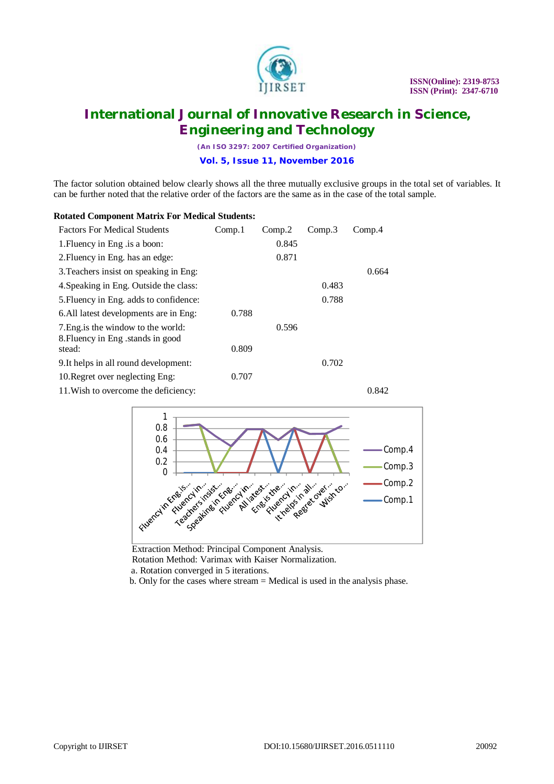

*(An ISO 3297: 2007 Certified Organization)* **Vol. 5, Issue 11, November 2016**

The factor solution obtained below clearly shows all the three mutually exclusive groups in the total set of variables. It can be further noted that the relative order of the factors are the same as in the case of the total sample.

### **Rotated Component Matrix For Medical Students:**

| <b>Factors For Medical Students</b>                                      | Comp.1 | Comp.2 | Comp.3 | Comp.4 |
|--------------------------------------------------------------------------|--------|--------|--------|--------|
| 1. Fluency in Eng. is a boon:                                            |        | 0.845  |        |        |
| 2. Fluency in Eng. has an edge:                                          |        | 0.871  |        |        |
| 3. Teachers insist on speaking in Eng:                                   |        |        |        | 0.664  |
| 4. Speaking in Eng. Outside the class:                                   |        |        | 0.483  |        |
| 5. Fluency in Eng. adds to confidence:                                   |        |        | 0.788  |        |
| 6. All latest developments are in Eng:                                   | 0.788  |        |        |        |
| 7. Eng. is the window to the world:<br>8. Fluency in Eng. stands in good |        | 0.596  |        |        |
| stead:                                                                   | 0.809  |        |        |        |
| 9. It helps in all round development:                                    |        |        | 0.702  |        |
| 10. Regret over neglecting Eng:                                          | 0.707  |        |        |        |
| 11. Wish to overcome the deficiency:                                     |        |        |        | 0.842  |



 Extraction Method: Principal Component Analysis. Rotation Method: Varimax with Kaiser Normalization. a. Rotation converged in 5 iterations.

b. Only for the cases where stream = Medical is used in the analysis phase.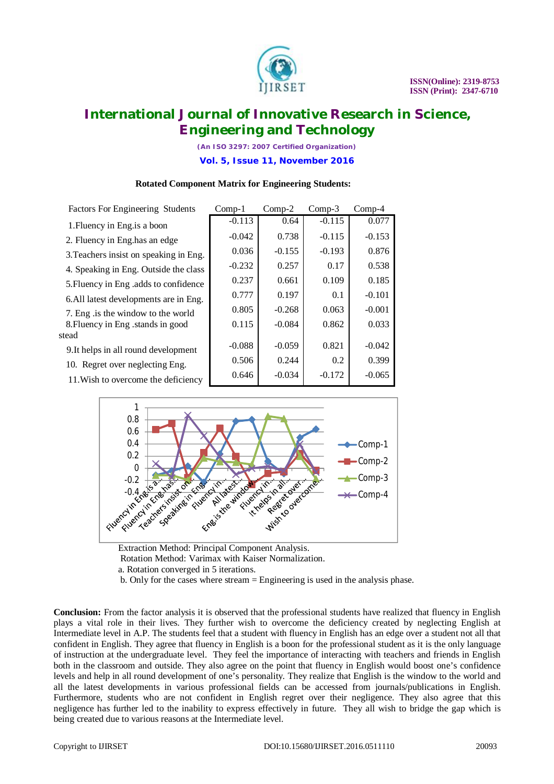

*(An ISO 3297: 2007 Certified Organization)* **Vol. 5, Issue 11, November 2016**

| <b>Factors For Engineering Students</b> | $Comp-1$ | $Comp-2$ | $Comp-3$ | $Comp-4$ |
|-----------------------------------------|----------|----------|----------|----------|
| 1. Fluency in Eng. is a boon            | $-0.113$ | 0.64     | $-0.115$ | 0.077    |
| 2. Fluency in Eng. has an edge          | $-0.042$ | 0.738    | $-0.115$ | $-0.153$ |
| 3. Teachers insist on speaking in Eng.  | 0.036    | $-0.155$ | $-0.193$ | 0.876    |
| 4. Speaking in Eng. Outside the class   | $-0.232$ | 0.257    | 0.17     | 0.538    |
| 5. Fluency in Eng. adds to confidence   | 0.237    | 0.661    | 0.109    | 0.185    |
| 6. All latest developments are in Eng.  | 0.777    | 0.197    | 0.1      | $-0.101$ |
| 7. Eng is the window to the world       | 0.805    | $-0.268$ | 0.063    | $-0.001$ |
| 8. Fluency in Eng. stands in good       | 0.115    | $-0.084$ | 0.862    | 0.033    |
| stead                                   |          |          |          |          |
| 9. It helps in all round development    | $-0.088$ | $-0.059$ | 0.821    | $-0.042$ |
| 10. Regret over neglecting Eng.         | 0.506    | 0.244    | 0.2      | 0.399    |
| 11. Wish to overcome the deficiency     | 0.646    | $-0.034$ | $-0.172$ | $-0.065$ |

#### **Rotated Component Matrix for Engineering Students:**



 Extraction Method: Principal Component Analysis. Rotation Method: Varimax with Kaiser Normalization. a. Rotation converged in 5 iterations. b. Only for the cases where stream = Engineering is used in the analysis phase.

**Conclusion:** From the factor analysis it is observed that the professional students have realized that fluency in English plays a vital role in their lives. They further wish to overcome the deficiency created by neglecting English at Intermediate level in A.P. The students feel that a student with fluency in English has an edge over a student not all that confident in English. They agree that fluency in English is a boon for the professional student as it is the only language of instruction at the undergraduate level. They feel the importance of interacting with teachers and friends in English both in the classroom and outside. They also agree on the point that fluency in English would boost one's confidence levels and help in all round development of one's personality. They realize that English is the window to the world and all the latest developments in various professional fields can be accessed from journals/publications in English. Furthermore, students who are not confident in English regret over their negligence. They also agree that this negligence has further led to the inability to express effectively in future. They all wish to bridge the gap which is being created due to various reasons at the Intermediate level.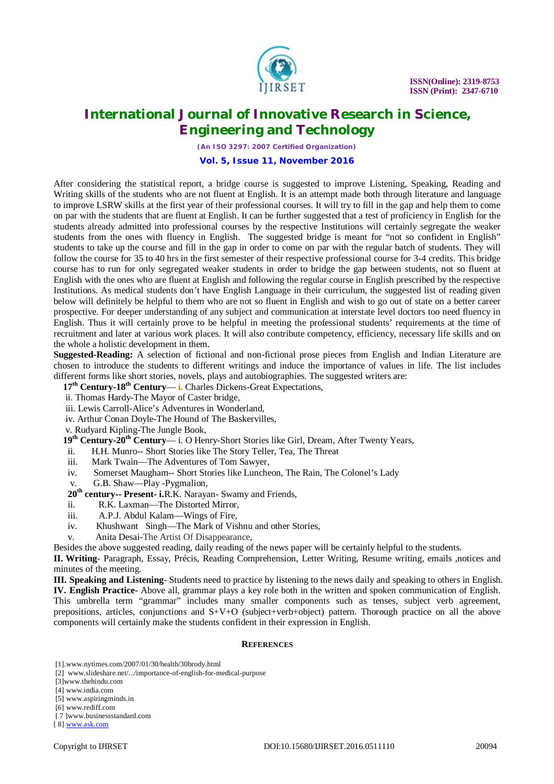

*(An ISO 3297: 2007 Certified Organization)* **Vol. 5, Issue 11, November 2016**

After considering the statistical report, a bridge course is suggested to improve Listening, Speaking, Reading and Writing skills of the students who are not fluent at English. It is an attempt made both through literature and language to improve LSRW skills at the first year of their professional courses. It will try to fill in the gap and help them to come on par with the students that are fluent at English. It can be further suggested that a test of proficiency in English for the students already admitted into professional courses by the respective Institutions will certainly segregate the weaker students from the ones with fluency in English. The suggested bridge is meant for "not so confident in English" students to take up the course and fill in the gap in order to come on par with the regular batch of students. They will follow the course for 35 to 40 hrs in the first semester of their respective professional course for 3-4 credits. This bridge course has to run for only segregated weaker students in order to bridge the gap between students, not so fluent at English with the ones who are fluent at English and following the regular course in English prescribed by the respective Institutions. As medical students don't have English Language in their curriculum, the suggested list of reading given below will definitely be helpful to them who are not so fluent in English and wish to go out of state on a better career prospective. For deeper understanding of any subject and communication at interstate level doctors too need fluency in English. Thus it will certainly prove to be helpful in meeting the professional students' requirements at the time of recruitment and later at various work places. It will also contribute competency, efficiency, necessary life skills and on the whole a holistic development in them.

**Suggested-Reading:** A selection of fictional and non-fictional prose pieces from English and Indian Literature are chosen to introduce the students to different writings and induce the importance of values in life. The list includes different forms like short stories, novels, plays and autobiographies. The suggested writers are:

- **17th Century-18th Century i.** Charles Dickens-Great Expectations,
- ii. Thomas Hardy-The Mayor of Caster bridge,
- iii. Lewis Carroll-Alice's Adventures in Wonderland,
- iv. Arthur Conan Doyle-The Hound of The Baskervilles,
- v. Rudyard Kipling-The Jungle Book,
- **19th Century-20th Century** i. O Henry-Short Stories like Girl, Dream, After Twenty Years,
- ii. H.H. Munro-- Short Stories like The Story Teller, Tea, The Threat
- iii. Mark Twain—The Adventures of Tom Sawyer,
- iv. Somerset Maugham-- Short Stories like Luncheon, The Rain, The Colonel's Lady
- v. G.B. Shaw—Play -Pygmalion,
- **20th century-- Present- i.**R.K. Narayan- Swamy and Friends,
- ii. R.K. Laxman—The Distorted Mirror,
- iii. A.P.J. Abdul Kalam—Wings of Fire,
- iv. Khushwant Singh—The Mark of Vishnu and other Stories,
- v. Anita Desai-The Artist Of Disappearance,

Besides the above suggested reading, daily reading of the news paper will be certainly helpful to the students.

**II. Writing**- Paragraph, Essay, Précis, Reading Comprehension, Letter Writing, Resume writing, emails ,notices and minutes of the meeting.

**III. Speaking and Listening**- Students need to practice by listening to the news daily and speaking to others in English. **IV. English Practice**- Above all, grammar plays a key role both in the written and spoken communication of English. This umbrella term "grammar" includes many smaller components such as tenses, subject verb agreement, prepositions, articles, conjunctions and S+V+O (subject+verb+object) pattern. Thorough practice on all the above components will certainly make the students confident in their expression in English.

#### **REFERENCES**

[1].[www.nytimes.com/2007/01/30/health/30brody.html](http://www.nytimes.com/2007/01/30/health/30brody.html)

- [4] [www.india.com](http://www.india.com)
- [5] [www.aspiringminds.in](http://www.aspiringminds.in)

<sup>[2]</sup> [www.slideshare.net/.../importance-of-english-for-medical-purpose](http://www.slideshare.net/.../importance-of-english-for-medical-purpose)

<sup>[3]</sup>[www.thehindu.com](http://www.thehindu.com)

<sup>[6]</sup> [www.rediff.com](http://www.rediff.com)

<sup>[ 7 ]</sup>[www.businessstandard.com](http://www.businessstandard.com)

<sup>[ 8]</sup> [www.ask.com](http://www.ask.com)